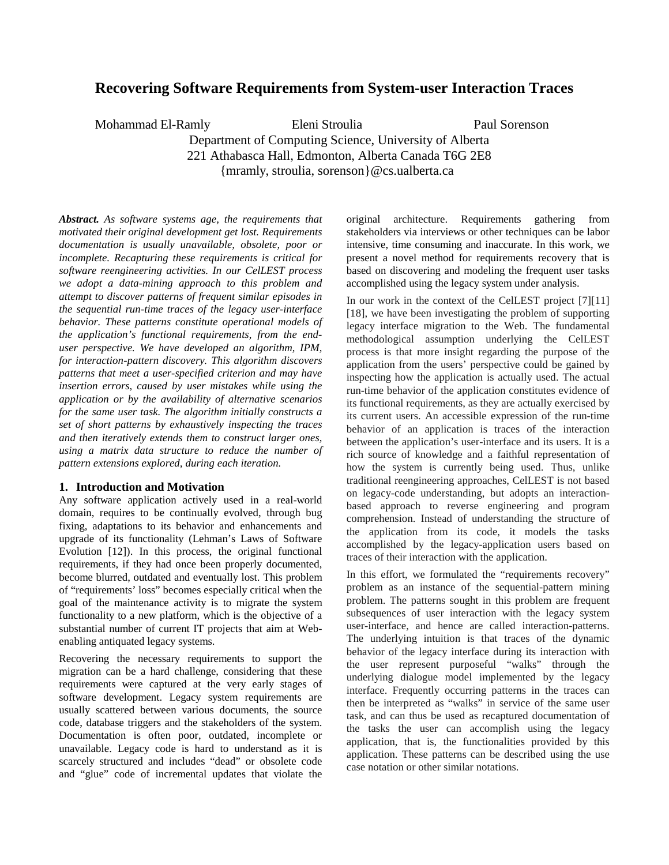# **Recovering Software Requirements from System-user Interaction Traces**

Mohammad El-Ramly Eleni Stroulia Paul Sorenson Department of Computing Science, University of Alberta 221 Athabasca Hall, Edmonton, Alberta Canada T6G 2E8 {mramly, stroulia, sorenson}@cs.ualberta.ca

*Abstract. As software systems age, the requirements that motivated their original development get lost. Requirements documentation is usually unavailable, obsolete, poor or incomplete. Recapturing these requirements is critical for software reengineering activities. In our CelLEST process we adopt a data-mining approach to this problem and attempt to discover patterns of frequent similar episodes in the sequential run-time traces of the legacy user-interface behavior. These patterns constitute operational models of the application's functional requirements, from the enduser perspective. We have developed an algorithm, IPM, for interaction-pattern discovery. This algorithm discovers patterns that meet a user-specified criterion and may have insertion errors, caused by user mistakes while using the application or by the availability of alternative scenarios for the same user task. The algorithm initially constructs a set of short patterns by exhaustively inspecting the traces and then iteratively extends them to construct larger ones, using a matrix data structure to reduce the number of pattern extensions explored, during each iteration.*

# **1. Introduction and Motivation**

Any software application actively used in a real-world domain, requires to be continually evolved, through bug fixing, adaptations to its behavior and enhancements and upgrade of its functionality (Lehman's Laws of Software Evolution [12]). In this process, the original functional requirements, if they had once been properly documented, become blurred, outdated and eventually lost. This problem of "requirements' loss" becomes especially critical when the goal of the maintenance activity is to migrate the system functionality to a new platform, which is the objective of a substantial number of current IT projects that aim at Webenabling antiquated legacy systems.

Recovering the necessary requirements to support the migration can be a hard challenge, considering that these requirements were captured at the very early stages of software development. Legacy system requirements are usually scattered between various documents, the source code, database triggers and the stakeholders of the system. Documentation is often poor, outdated, incomplete or unavailable. Legacy code is hard to understand as it is scarcely structured and includes "dead" or obsolete code and "glue" code of incremental updates that violate the

original architecture. Requirements gathering from stakeholders via interviews or other techniques can be labor intensive, time consuming and inaccurate. In this work, we present a novel method for requirements recovery that is based on discovering and modeling the frequent user tasks accomplished using the legacy system under analysis.

In our work in the context of the CelLEST project [7][11] [18], we have been investigating the problem of supporting legacy interface migration to the Web. The fundamental methodological assumption underlying the CelLEST process is that more insight regarding the purpose of the application from the users' perspective could be gained by inspecting how the application is actually used. The actual run-time behavior of the application constitutes evidence of its functional requirements, as they are actually exercised by its current users. An accessible expression of the run-time behavior of an application is traces of the interaction between the application's user-interface and its users. It is a rich source of knowledge and a faithful representation of how the system is currently being used. Thus, unlike traditional reengineering approaches, CelLEST is not based on legacy-code understanding, but adopts an interactionbased approach to reverse engineering and program comprehension. Instead of understanding the structure of the application from its code, it models the tasks accomplished by the legacy-application users based on traces of their interaction with the application.

In this effort, we formulated the "requirements recovery" problem as an instance of the sequential-pattern mining problem. The patterns sought in this problem are frequent subsequences of user interaction with the legacy system user-interface, and hence are called interaction-patterns. The underlying intuition is that traces of the dynamic behavior of the legacy interface during its interaction with the user represent purposeful "walks" through the underlying dialogue model implemented by the legacy interface. Frequently occurring patterns in the traces can then be interpreted as "walks" in service of the same user task, and can thus be used as recaptured documentation of the tasks the user can accomplish using the legacy application, that is, the functionalities provided by this application. These patterns can be described using the use case notation or other similar notations.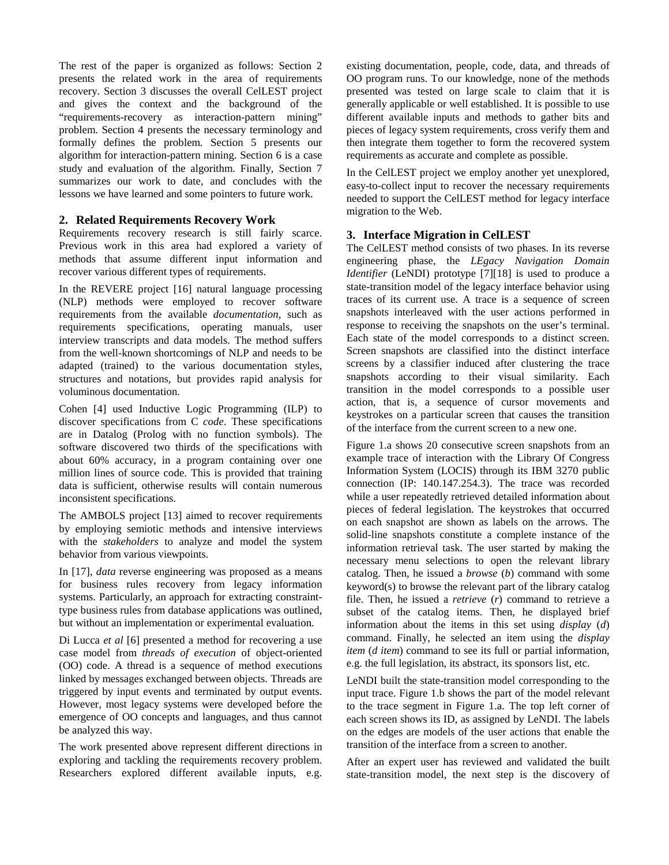The rest of the paper is organized as follows: Section 2 presents the related work in the area of requirements recovery. Section 3 discusses the overall CelLEST project and gives the context and the background of the "requirements-recovery as interaction-pattern mining" problem. Section 4 presents the necessary terminology and formally defines the problem. Section 5 presents our algorithm for interaction-pattern mining. Section 6 is a case study and evaluation of the algorithm. Finally, Section 7 summarizes our work to date, and concludes with the lessons we have learned and some pointers to future work.

# **2. Related Requirements Recovery Work**

Requirements recovery research is still fairly scarce. Previous work in this area had explored a variety of methods that assume different input information and recover various different types of requirements.

In the REVERE project [16] natural language processing (NLP) methods were employed to recover software requirements from the available *documentation*, such as requirements specifications, operating manuals, user interview transcripts and data models. The method suffers from the well-known shortcomings of NLP and needs to be adapted (trained) to the various documentation styles, structures and notations, but provides rapid analysis for voluminous documentation.

Cohen [4] used Inductive Logic Programming (ILP) to discover specifications from C *code*. These specifications are in Datalog (Prolog with no function symbols). The software discovered two thirds of the specifications with about 60% accuracy, in a program containing over one million lines of source code. This is provided that training data is sufficient, otherwise results will contain numerous inconsistent specifications.

The AMBOLS project [13] aimed to recover requirements by employing semiotic methods and intensive interviews with the *stakeholders* to analyze and model the system behavior from various viewpoints.

In [17], *data* reverse engineering was proposed as a means for business rules recovery from legacy information systems. Particularly, an approach for extracting constrainttype business rules from database applications was outlined, but without an implementation or experimental evaluation.

Di Lucca *et al* [6] presented a method for recovering a use case model from *threads of execution* of object-oriented (OO) code. A thread is a sequence of method executions linked by messages exchanged between objects. Threads are triggered by input events and terminated by output events. However, most legacy systems were developed before the emergence of OO concepts and languages, and thus cannot be analyzed this way.

The work presented above represent different directions in exploring and tackling the requirements recovery problem. Researchers explored different available inputs, e.g.

existing documentation, people, code, data, and threads of OO program runs. To our knowledge, none of the methods presented was tested on large scale to claim that it is generally applicable or well established. It is possible to use different available inputs and methods to gather bits and pieces of legacy system requirements, cross verify them and then integrate them together to form the recovered system requirements as accurate and complete as possible.

In the CelLEST project we employ another yet unexplored, easy-to-collect input to recover the necessary requirements needed to support the CelLEST method for legacy interface migration to the Web.

# **3. Interface Migration in CelLEST**

The CelLEST method consists of two phases. In its reverse engineering phase, the *LEgacy Navigation Domain Identifier* (LeNDI) prototype [7][18] is used to produce a state-transition model of the legacy interface behavior using traces of its current use. A trace is a sequence of screen snapshots interleaved with the user actions performed in response to receiving the snapshots on the user's terminal. Each state of the model corresponds to a distinct screen. Screen snapshots are classified into the distinct interface screens by a classifier induced after clustering the trace snapshots according to their visual similarity. Each transition in the model corresponds to a possible user action, that is, a sequence of cursor movements and keystrokes on a particular screen that causes the transition of the interface from the current screen to a new one.

Figure 1.a shows 20 consecutive screen snapshots from an example trace of interaction with the Library Of Congress Information System (LOCIS) through its IBM 3270 public connection (IP: 140.147.254.3). The trace was recorded while a user repeatedly retrieved detailed information about pieces of federal legislation. The keystrokes that occurred on each snapshot are shown as labels on the arrows. The solid-line snapshots constitute a complete instance of the information retrieval task. The user started by making the necessary menu selections to open the relevant library catalog. Then, he issued a *browse* (*b*) command with some keyword(s) to browse the relevant part of the library catalog file. Then, he issued a *retrieve* (*r*) command to retrieve a subset of the catalog items. Then, he displayed brief information about the items in this set using *display* (*d*) command. Finally, he selected an item using the *display item* (*d item*) command to see its full or partial information, e.g. the full legislation, its abstract, its sponsors list, etc.

LeNDI built the state-transition model corresponding to the input trace. Figure 1.b shows the part of the model relevant to the trace segment in Figure 1.a. The top left corner of each screen shows its ID, as assigned by LeNDI. The labels on the edges are models of the user actions that enable the transition of the interface from a screen to another.

After an expert user has reviewed and validated the built state-transition model, the next step is the discovery of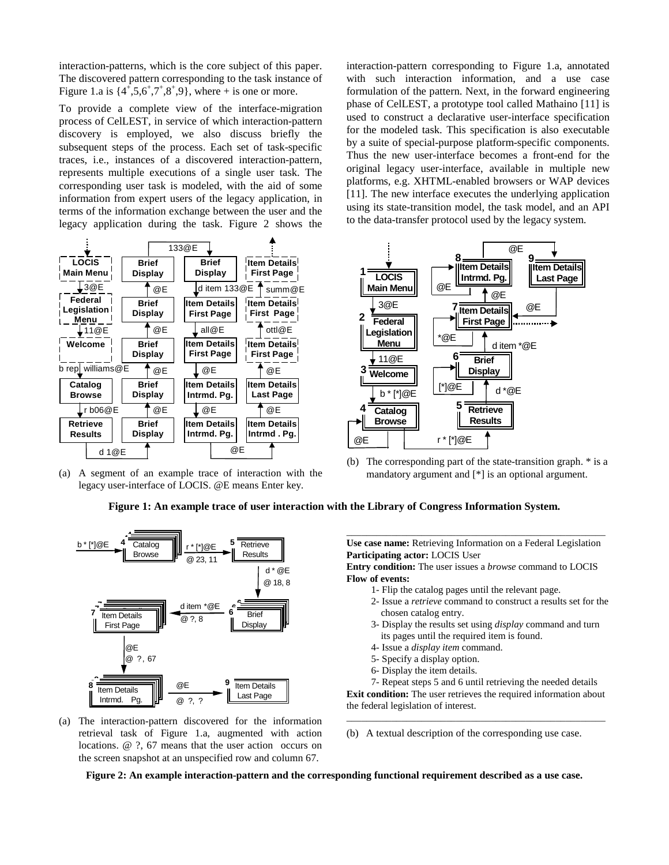interaction-patterns, which is the core subject of this paper. The discovered pattern corresponding to the task instance of Figure 1.a is  $\{4^+, 5, 6^+, 7^+, 8^+, 9\}$ , where + is one or more.

To provide a complete view of the interface-migration process of CelLEST, in service of which interaction-pattern discovery is employed, we also discuss briefly the subsequent steps of the process. Each set of task-specific traces, i.e., instances of a discovered interaction-pattern, represents multiple executions of a single user task. The corresponding user task is modeled, with the aid of some information from expert users of the legacy application, in terms of the information exchange between the user and the legacy application during the task. Figure 2 shows the



(a) A segment of an example trace of interaction with the legacy user-interface of LOCIS. @E means Enter key.

interaction-pattern corresponding to Figure 1.a, annotated with such interaction information, and a use case formulation of the pattern. Next, in the forward engineering phase of CelLEST, a prototype tool called Mathaino [11] is used to construct a declarative user-interface specification for the modeled task. This specification is also executable by a suite of special-purpose platform-specific components. Thus the new user-interface becomes a front-end for the original legacy user-interface, available in multiple new platforms, e.g. XHTML-enabled browsers or WAP devices [11]. The new interface executes the underlying application using its state-transition model, the task model, and an API to the data-transfer protocol used by the legacy system.



(b) The corresponding part of the state-transition graph. \* is a mandatory argument and [\*] is an optional argument.

# **Figure 1: An example trace of user interaction with the Library of Congress Information System.**



(a) The interaction-pattern discovered for the information retrieval task of Figure 1.a, augmented with action locations. @ ?, 67 means that the user action occurs on the screen snapshot at an unspecified row and column 67.

\_\_\_\_\_\_\_\_\_\_\_\_\_\_\_\_\_\_\_\_\_\_\_\_\_\_\_\_\_\_\_\_\_\_\_\_\_\_\_\_\_\_\_\_\_\_\_\_\_\_\_\_ **Use case name:** Retrieving Information on a Federal Legislation **Participating actor:** LOCIS User

**Entry condition:** The user issues a *browse* command to LOCIS **Flow of events:**

- 1- Flip the catalog pages until the relevant page.
- 2- Issue a *retrieve* command to construct a results set for the chosen catalog entry.
- 3- Display the results set using *display* command and turn its pages until the required item is found.
- 4- Issue a *display item* command.
- 5- Specify a display option.
- 6- Display the item details.

7- Repeat steps 5 and 6 until retrieving the needed details **Exit condition:** The user retrieves the required information about the federal legislation of interest.

\_\_\_\_\_\_\_\_\_\_\_\_\_\_\_\_\_\_\_\_\_\_\_\_\_\_\_\_\_\_\_\_\_\_\_\_\_\_\_\_\_\_\_\_\_\_\_\_\_\_\_\_

(b) A textual description of the corresponding use case.

**Figure 2: An example interaction-pattern and the corresponding functional requirement described as a use case.**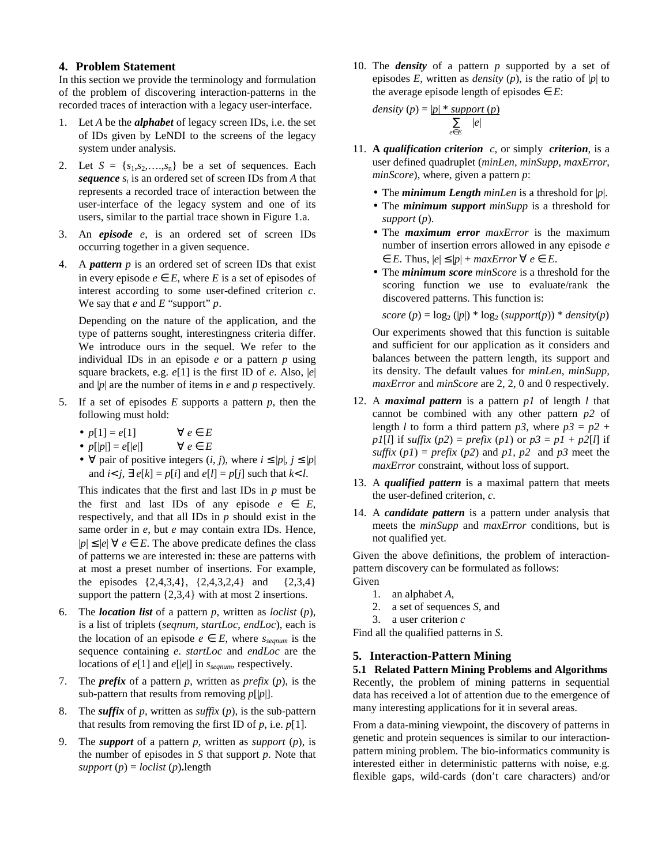## **4. Problem Statement**

In this section we provide the terminology and formulation of the problem of discovering interaction-patterns in the recorded traces of interaction with a legacy user-interface.

- 1. Let *A* be the *alphabet* of legacy screen IDs, i.e. the set of IDs given by LeNDI to the screens of the legacy system under analysis.
- 2. Let  $S = \{s_1, s_2, \ldots, s_n\}$  be a set of sequences. Each *sequence s<sup>i</sup>* is an ordered set of screen IDs from *A* that represents a recorded trace of interaction between the user-interface of the legacy system and one of its users, similar to the partial trace shown in Figure 1.a.
- 3. An *episode e*, is an ordered set of screen IDs occurring together in a given sequence.
- 4. A *pattern p* is an ordered set of screen IDs that exist in every episode  $e \in E$ , where *E* is a set of episodes of interest according to some user-defined criterion *c*. We say that *e* and *E* "support" *p*.

Depending on the nature of the application, and the type of patterns sought, interestingness criteria differ. We introduce ours in the sequel. We refer to the individual IDs in an episode *e* or a pattern *p* using square brackets, e.g. *e*[1] is the first ID of *e*. Also, |*e*| and |*p*| are the number of items in *e* and *p* respectively*.*

- 5. If a set of episodes *E* supports a pattern *p*, then the following must hold:
	- $p[1] = e[1]$   $\forall e \in E$
	- $p[|p|] = e[|e|]$   $\forall e \in E$
	- $\forall$  pair of positive integers  $(i, j)$ , where  $i \leq |p|, j \leq |p|$ and  $i < j$ ,  $\exists e[k] = p[i]$  and  $e[l] = p[j]$  such that  $k < l$ .

This indicates that the first and last IDs in *p* must be the first and last IDs of any episode  $e \in E$ , respectively, and that all IDs in *p* should exist in the same order in *e*, but *e* may contain extra IDs. Hence,  $|p|$  ≤  $|e|$   $\forall e \in E$ . The above predicate defines the class of patterns we are interested in: these are patterns with at most a preset number of insertions. For example, the episodes  $\{2,4,3,4\}$ ,  $\{2,4,3,2,4\}$  and  $\{2,3,4\}$ support the pattern {2,3,4} with at most 2 insertions.

- 6. The *location list* of a pattern *p*, written as *loclist* (*p*), is a list of triplets (*seqnum*, *startLoc*, *endLoc*), each is the location of an episode  $e \in E$ , where  $s_{\text{segnum}}$  is the sequence containing *e*. *startLoc* and *endLoc* are the locations of *e*[1] and *e*[|*e*|] in *sseqnum*, respectively.
- 7. The *prefix* of a pattern *p*, written as *prefix* (*p*), is the sub-pattern that results from removing *p*[|*p*|].
- 8. The *suffix* of *p*, written as *suffix* (*p*), is the sub-pattern that results from removing the first ID of  $p$ , i.e.  $p[1]$ .
- 9. The *support* of a pattern *p*, written as *support* (*p*), is the number of episodes in *S* that support *p*. Note that  $support(p) = loclist(p)$ **.**

10. The *density* of a pattern *p* supported by a set of episodes  $E$ , written as *density* (*p*), is the ratio of  $|p|$  to the average episode length of episodes  $\in E$ :

$$
density (p) = |p| * support (p)
$$

$$
\sum_{e \in E} |e|
$$

- 11. **A** *qualification criterion c,* or simply *criterion*, is a user defined quadruplet (*minLen*, *minSupp, maxError*, *minScore*), where, given a pattern *p*:
	- The *minimum Length minLen* is a threshold for |*p*|.
	- The *minimum support minSupp* is a threshold for *support* (*p*).
	- The *maximum error maxError* is the maximum number of insertion errors allowed in any episode *e*  $\in E$ . Thus,  $|e| \leq |p| + \text{maxError } \forall e \in E$ .
	- The *minimum score minScore* is a threshold for the scoring function we use to evaluate/rank the discovered patterns. This function is:

 $score(p) = log_2 (|p|) * log_2 (support(p)) * density(p)$ 

Our experiments showed that this function is suitable and sufficient for our application as it considers and balances between the pattern length, its support and its density. The default values for *minLen*, *minSupp, maxError* and *minScore* are 2, 2, 0 and 0 respectively.

- 12. A *maximal pattern* is a pattern *p1* of length *l* that cannot be combined with any other pattern *p2* of length *l* to form a third pattern  $p3$ , where  $p3 = p2 + p$ *p1*[*l*] if *suffix* (*p2*) = *prefix* (*p1*) or  $p3 = p1 + p2[1]$  if *suffix*  $(p1) = prefix (p2)$  and  $p1, p2$  and  $p3$  meet the *maxError* constraint, without loss of support.
- 13. A *qualified pattern* is a maximal pattern that meets the user-defined criterion, *c*.
- 14. A *candidate pattern* is a pattern under analysis that meets the *minSupp* and *maxError* conditions, but is not qualified yet.

Given the above definitions, the problem of interactionpattern discovery can be formulated as follows: Given

- 1. an alphabet *A*,
- 2. a set of sequences *S*, and
- 3. a user criterion *c*

Find all the qualified patterns in *S*.

# **5. Interaction-Pattern Mining**

**5.1 Related Pattern Mining Problems and Algorithms** Recently, the problem of mining patterns in sequential data has received a lot of attention due to the emergence of many interesting applications for it in several areas.

From a data-mining viewpoint, the discovery of patterns in genetic and protein sequences is similar to our interactionpattern mining problem. The bio-informatics community is interested either in deterministic patterns with noise, e.g. flexible gaps, wild-cards (don't care characters) and/or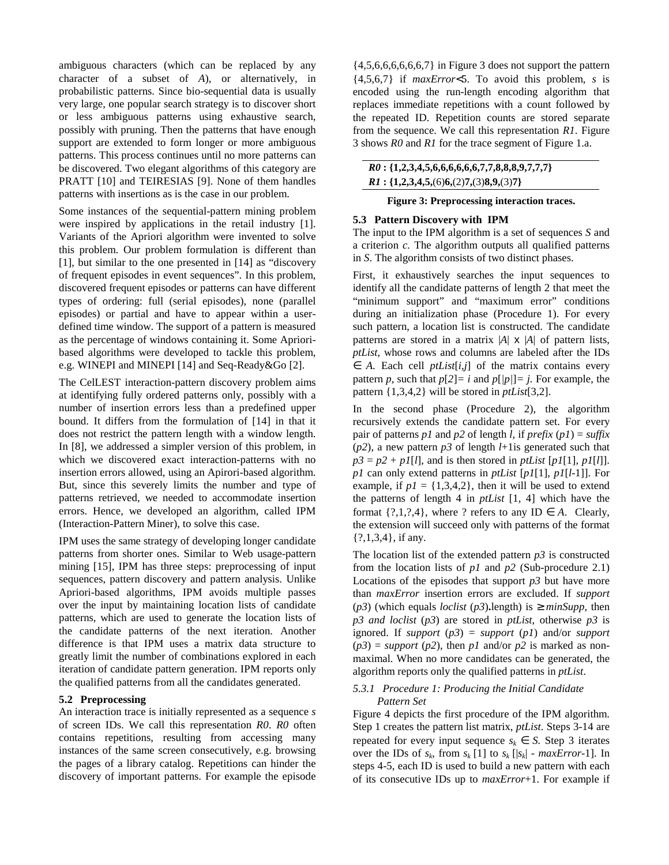ambiguous characters (which can be replaced by any character of a subset of *A*), or alternatively, in probabilistic patterns. Since bio-sequential data is usually very large, one popular search strategy is to discover short or less ambiguous patterns using exhaustive search, possibly with pruning. Then the patterns that have enough support are extended to form longer or more ambiguous patterns. This process continues until no more patterns can be discovered. Two elegant algorithms of this category are PRATT [10] and TEIRESIAS [9]. None of them handles patterns with insertions as is the case in our problem.

Some instances of the sequential-pattern mining problem were inspired by applications in the retail industry [1]. Variants of the Apriori algorithm were invented to solve this problem. Our problem formulation is different than [1], but similar to the one presented in [14] as "discovery of frequent episodes in event sequences". In this problem, discovered frequent episodes or patterns can have different types of ordering: full (serial episodes), none (parallel episodes) or partial and have to appear within a userdefined time window. The support of a pattern is measured as the percentage of windows containing it. Some Aprioribased algorithms were developed to tackle this problem, e.g. WINEPI and MINEPI [14] and Seq-Ready&Go [2].

The CelLEST interaction-pattern discovery problem aims at identifying fully ordered patterns only, possibly with a number of insertion errors less than a predefined upper bound. It differs from the formulation of [14] in that it does not restrict the pattern length with a window length. In [8], we addressed a simpler version of this problem, in which we discovered exact interaction-patterns with no insertion errors allowed, using an Apirori-based algorithm. But, since this severely limits the number and type of patterns retrieved, we needed to accommodate insertion errors. Hence, we developed an algorithm, called IPM (Interaction-Pattern Miner), to solve this case.

IPM uses the same strategy of developing longer candidate patterns from shorter ones. Similar to Web usage-pattern mining [15], IPM has three steps: preprocessing of input sequences, pattern discovery and pattern analysis. Unlike Apriori-based algorithms, IPM avoids multiple passes over the input by maintaining location lists of candidate patterns, which are used to generate the location lists of the candidate patterns of the next iteration. Another difference is that IPM uses a matrix data structure to greatly limit the number of combinations explored in each iteration of candidate pattern generation. IPM reports only the qualified patterns from all the candidates generated.

## **5.2 Preprocessing**

An interaction trace is initially represented as a sequence *s* of screen IDs. We call this representation *R0*. *R0* often contains repetitions, resulting from accessing many instances of the same screen consecutively, e.g. browsing the pages of a library catalog. Repetitions can hinder the discovery of important patterns. For example the episode

 $\{4,5,6,6,6,6,6,6,7\}$  in Figure 3 does not support the pattern {4,5,6,7} if *maxError*<5. To avoid this problem, *s* is encoded using the run-length encoding algorithm that replaces immediate repetitions with a count followed by the repeated ID. Repetition counts are stored separate from the sequence. We call this representation *R1*. Figure 3 shows *R0* and *R1* for the trace segment of Figure 1.a.

| $R0: \{1,2,3,4,5,6,6,6,6,6,6,7,7,8,8,8,9,7,7,7\}$ |
|---------------------------------------------------|
| $RI: \{1,2,3,4,5,(6)6,(2)7,(3)8,9,(3)7\}$         |

## **Figure 3: Preprocessing interaction traces.**

## **5.3 Pattern Discovery with IPM**

The input to the IPM algorithm is a set of sequences *S* and a criterion *c.* The algorithm outputs all qualified patterns in *S*. The algorithm consists of two distinct phases.

First, it exhaustively searches the input sequences to identify all the candidate patterns of length 2 that meet the "minimum support" and "maximum error" conditions during an initialization phase (Procedure 1). For every such pattern, a location list is constructed. The candidate patterns are stored in a matrix  $|A| \times |A|$  of pattern lists, *ptList*, whose rows and columns are labeled after the IDs  $\in$  *A.* Each cell *ptList*[*i,j*] of the matrix contains every pattern *p*, such that  $p[2] = i$  and  $p[$   $p[$  $] = j$ . For example, the pattern {1,3,4,2} will be stored in *ptList*[3,2].

In the second phase (Procedure 2), the algorithm recursively extends the candidate pattern set. For every pair of patterns *p1* and *p2* of length *l,* if *prefix*  $(p1) = \text{suffix}$ (*p2*), a new pattern *p3* of length *l*+1is generated such that  $p3 = p2 + p1[1]$ , and is then stored in *ptList*  $[p1[1], p1[1]$ . *p1* can only extend patterns in *ptList* [*p1*[1], *p1*[*l*-1]]. For example, if  $p1 = \{1,3,4,2\}$ , then it will be used to extend the patterns of length 4 in *ptList* [1, 4] which have the format  $\{?,1,?,4\}$ , where ? refers to any ID  $\in$  *A*. Clearly, the extension will succeed only with patterns of the format {?,1,3,4}, if any.

The location list of the extended pattern *p3* is constructed from the location lists of *p1* and *p2* (Sub-procedure 2.1) Locations of the episodes that support  $p3$  but have more than *maxError* insertion errors are excluded. If *support* ( $p3$ ) (which equals *loclist* ( $p3$ ).length) is  $\geq minSupp$ , then *p3 and loclist* (*p3*) are stored in *ptList*, otherwise *p3* is ignored. If *support* (*p3*) = *support* (*p1*) and/or *support*  $(p3)$  = *support* (*p2*), then *p1* and/or *p2* is marked as nonmaximal. When no more candidates can be generated, the algorithm reports only the qualified patterns in *ptList*.

# *5.3.1 Procedure 1: Producing the Initial Candidate Pattern Set*

Figure 4 depicts the first procedure of the IPM algorithm. Step 1 creates the pattern list matrix, *ptList*. Steps 3-14 are repeated for every input sequence  $s_k \in S$ . Step 3 iterates over the IDs of  $s_k$ , from  $s_k$  [1] to  $s_k$  [ $|s_k|$  - *maxError*-1]. In steps 4-5, each ID is used to build a new pattern with each of its consecutive IDs up to *maxError*+1. For example if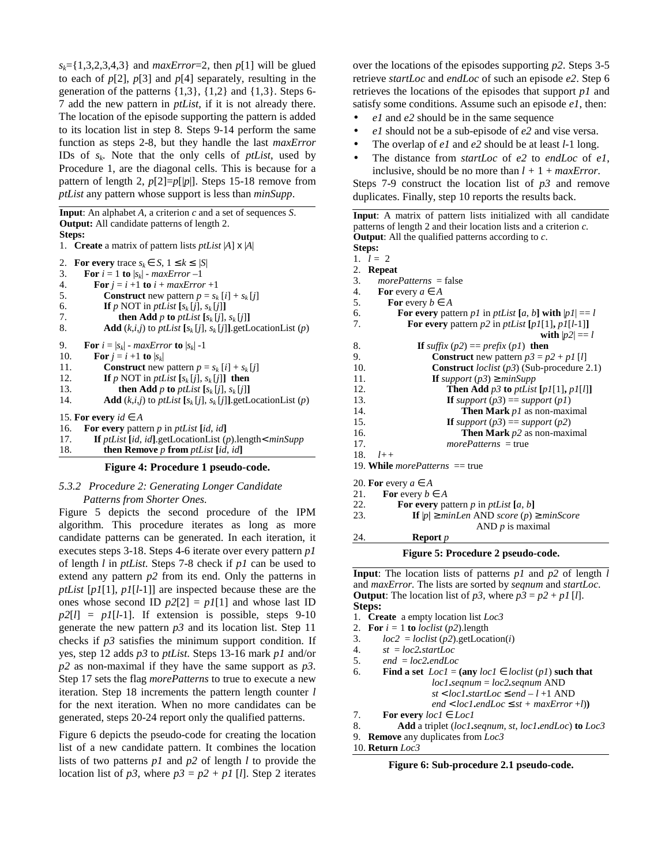$s_k = \{1,3,2,3,4,3\}$  and *maxError*=2, then *p*[1] will be glued to each of  $p[2]$ ,  $p[3]$  and  $p[4]$  separately, resulting in the generation of the patterns  $\{1,3\}$ ,  $\{1,2\}$  and  $\{1,3\}$ . Steps 6-7 add the new pattern in *ptList,* if it is not already there. The location of the episode supporting the pattern is added to its location list in step 8. Steps 9-14 perform the same function as steps 2-8, but they handle the last *maxError* IDs of *s<sup>k</sup> .* Note that the only cells of *ptList*, used by Procedure 1, are the diagonal cells. This is because for a pattern of length 2, *p*[2]=*p*[|*p*|]. Steps 15-18 remove from *ptList* any pattern whose support is less than *minSupp*.

**Input**: An alphabet *A*, a criterion *c* and a set of sequences *S*. **Output:** All candidate patterns of length 2. **Steps:**

|  | 1. <b>Create</b> a matrix of pattern lists <i>ptList</i> $ A  \times  A $ |  |  |  |
|--|---------------------------------------------------------------------------|--|--|--|
|--|---------------------------------------------------------------------------|--|--|--|

| 2. For every trace $s_k \in S$ , $1 \leq k \leq  S $                                            |
|-------------------------------------------------------------------------------------------------|
| For $i = 1$ to $ s_k $ - maxError -1<br>3.                                                      |
| 4.<br>For $i = i + 1$ to $i + maxError + 1$                                                     |
| 5.<br><b>Construct</b> new pattern $p = s_k[i] + s_k[i]$                                        |
| 6.<br><b>If</b> p NOT in ptList $[s_k[j], s_k[j]]$                                              |
| <b>then Add</b> p to ptList $[s_k[i], s_k[i]]$<br>7.                                            |
| 8.<br><b>Add</b> $(k,i,j)$ to <i>ptList</i> $[s_k[j], s_k[j]]$ getLocationList $(p)$            |
| <b>For</b> $i =  s_i $ - max <i>Error</i> to $ s_i $ -1<br>9.                                   |
| 10.<br>For $i = i + 1$ to $ s_k $                                                               |
| 11.<br><b>Construct</b> new pattern $p = s_k[i] + s_k[j]$                                       |
| If p NOT in ptList $[s_k[i], s_k[i]]$ then<br>12.                                               |
| 13.<br><b>then Add</b> p to ptList $[s_k[j], s_k[j]]$                                           |
| <b>Add</b> $(k,i,j)$ to <i>ptList</i> $[s_k[j], s_k[j]]$ getLocationList $(p)$<br>14.           |
| 15. For every $id \in A$                                                                        |
| For every pattern $p$ in $ptList$ [id, id]<br>16.                                               |
| <b>If</b> <i>ptList</i> [ <i>id, id</i> ].getLocationList ( <i>p</i> ).length< $minSupp$<br>17. |
| <b>then Remove</b> p from ptList [id, id]<br>18.                                                |

**Figure 4: Procedure 1 pseudo-code.**

## *5.3.2 Procedure 2: Generating Longer Candidate Patterns from Shorter Ones.*

Figure 5 depicts the second procedure of the IPM algorithm. This procedure iterates as long as more candidate patterns can be generated. In each iteration, it executes steps 3-18. Steps 4-6 iterate over every pattern *p1* of length *l* in *ptList*. Steps 7-8 check if *p1* can be used to extend any pattern *p2* from its end. Only the patterns in *ptList* [*p1*[1], *p1*[*l*-1]] are inspected because these are the ones whose second ID  $p2[2] = p1[1]$  and whose last ID  $p2[l] = p1[l-1]$ . If extension is possible, steps 9-10 generate the new pattern *p3* and its location list. Step 11 checks if  $p3$  satisfies the minimum support condition. If yes, step 12 adds *p3* to *ptList*. Steps 13-16 mark *p1* and/or *p2* as non-maximal if they have the same support as *p3*. Step 17 sets the flag *morePatterns* to true to execute a new iteration. Step 18 increments the pattern length counter *l* for the next iteration. When no more candidates can be generated, steps 20-24 report only the qualified patterns.

Figure 6 depicts the pseudo-code for creating the location list of a new candidate pattern. It combines the location lists of two patterns *p1* and *p2* of length *l* to provide the location list of  $p3$ , where  $p3 = p2 + p1$  [*l*]. Step 2 iterates

over the locations of the episodes supporting *p2*. Steps 3-5 retrieve *startLoc* and *endLoc* of such an episode *e2*. Step 6 retrieves the locations of the episodes that support *p1* and satisfy some conditions. Assume such an episode *e1*, then:

- *e1* and *e2* should be in the same sequence
- *e1* should not be a sub-episode of *e2* and vise versa.
- The overlap of *e1* and *e2* should be at least *l*-1 long.
- The distance from *startLoc* of *e2* to *endLoc* of *e1*, inclusive, should be no more than  $l + 1 + maxError$ .

Steps 7-9 construct the location list of *p3* and remove duplicates. Finally, step 10 reports the results back.

**Input**: A matrix of pattern lists initialized with all candidate patterns of length 2 and their location lists and a criterion *c.* **Output**: All the qualified patterns according to *c*.

```
Steps:
1. l = 22. Repeat
3. morePatterns = false
4. For every a \in A5. For every b \in A
```
- 6. **For every** pattern *p1* in *ptList*  $[a, b]$  **with**  $|pI| = l$ <br>7. **For every** pattern *p2* in *ptList*  $[pI[1], pI[l-1]]$
- **For every** pattern  $p2$  in  $ptList[p1][1], p1[l-1]]$ 
	- with  $|p2| == l$
- 8. **If** *suffix*  $(p2) == prefix (p1)$  **then** 9. **Construct** new pattern  $p3 = p2 + p1$  [*l*] 10. **Construct** *loclist* (*p3*) (Sub-procedure 2.1) 11. **If** support  $(p3) \geq minSupp$ 12. **Then Add** *p3* **to** *ptList* **[***p1*[1]**,** *p1*[*l*]**]** 13. **If** support  $(p3) == support (p1)$ 14. **Then Mark** *p1* as non-maximal 15. **If** support  $(p3) == support (p2)$ 16. **Then Mark** *p2* as non-maximal 17. *morePatterns* = true 18. *l++*
- 19. **While** *morePatterns* == true
- 20. **For** every  $a \in A$
- 21. **For** every  $b \in A$
- 22. **For every** pattern *p* in *ptList* [*a*, *b*] 23. **If**  $|p| \geq minLen$  AND *score* (*p*) 2
- 23. **If** |*p***|** ≥ *minLen* AND *score* (*p*) ≥ *minScore*
	- AND *p* is maximal
- 24. **Report** *p*

#### **Figure 5: Procedure 2 pseudo-code.**

**Input**: The location lists of patterns *p1* and *p2* of length *l* and *maxError.* The lists are sorted by *seqnum* and *startLoc*. **Output**: The location list of  $p3$ , where  $p3 = p2 + p1$  [*l*]. **Steps:**

- 1. **Create** a empty location list *Loc3*
- 2. **For**  $i = 1$  **to** *loclist* (*p2*).length
- 3.  $loc2 = loclist (p2).getLocation(i)$ <br>4.  $st = loc2.startLoc$
- $st = loc2.startLoc$
- 5. *end* = *loc2.endLoc*
- 6. **Find a set**  $LocI = (\text{any } locI \in loclist (p1) \text{ such that})$ *loc1***.***seqnum* = *loc2.seqnum* AND  $st < local.startLoc \leq end - l + 1$  AND  $end <$  $loc1$ **.** $endLoc \leq st + maxError + l$ )
- 7. **For every**  $loc1 \in Loc1$
- 8. **Add** a triplet (*loc1***.***seqnum*, *st*, *loc1***.***endLoc*) **to** *Loc3*
- 9. **Remove** any duplicates from *Loc3*
- 10. **Return** *Loc3*

**Figure 6: Sub-procedure 2.1 pseudo-code.**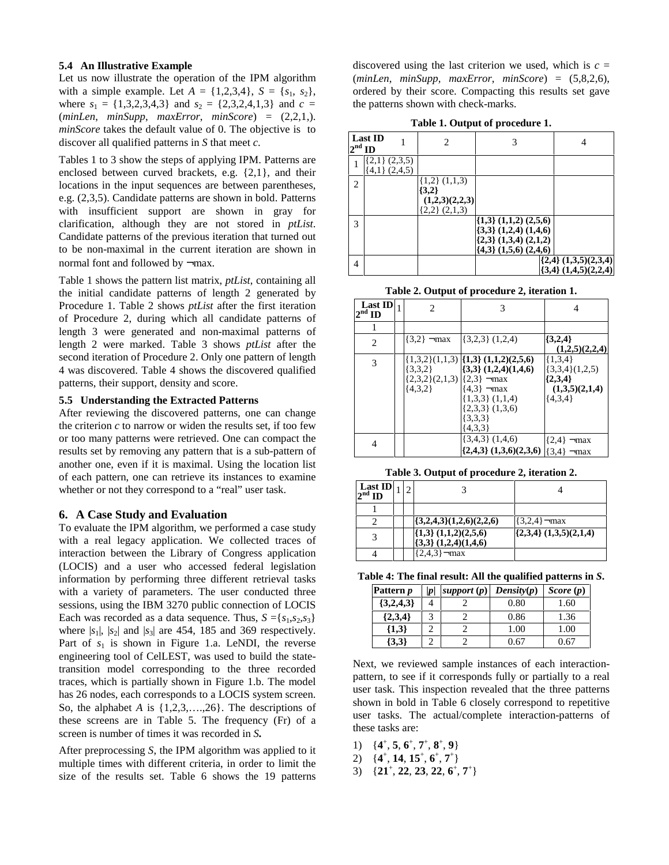### **5.4 An Illustrative Example**

Let us now illustrate the operation of the IPM algorithm with a simple example. Let  $A = \{1,2,3,4\}$ ,  $S = \{s_1, s_2\}$ , where  $s_1 = \{1,3,2,3,4,3\}$  and  $s_2 = \{2,3,2,4,1,3\}$  and  $c =$ (*minLen*, *minSupp*, *maxError*, *minScore*) = (2,2,1,). *minScore* takes the default value of 0. The objective is to discover all qualified patterns in *S* that meet *c*.

Tables 1 to 3 show the steps of applying IPM. Patterns are enclosed between curved brackets, e.g. {2,1}, and their locations in the input sequences are between parentheses, e.g. (2,3,5). Candidate patterns are shown in bold. Patterns with insufficient support are shown in gray for clarification, although they are not stored in *ptList*. Candidate patterns of the previous iteration that turned out to be non-maximal in the current iteration are shown in normal font and followed by ¬max.

Table 1 shows the pattern list matrix, *ptList*, containing all the initial candidate patterns of length 2 generated by Procedure 1. Table 2 shows *ptList* after the first iteration of Procedure 2, during which all candidate patterns of length 3 were generated and non-maximal patterns of length 2 were marked. Table 3 shows *ptList* after the second iteration of Procedure 2. Only one pattern of length 4 was discovered. Table 4 shows the discovered qualified patterns, their support, density and score.

#### **5.5 Understanding the Extracted Patterns**

After reviewing the discovered patterns, one can change the criterion  $c$  to narrow or widen the results set, if too few or too many patterns were retrieved. One can compact the results set by removing any pattern that is a sub-pattern of another one, even if it is maximal. Using the location list of each pattern, one can retrieve its instances to examine whether or not they correspond to a "real" user task.

#### **6. A Case Study and Evaluation**

To evaluate the IPM algorithm, we performed a case study with a real legacy application. We collected traces of interaction between the Library of Congress application (LOCIS) and a user who accessed federal legislation information by performing three different retrieval tasks with a variety of parameters. The user conducted three sessions, using the IBM 3270 public connection of LOCIS Each was recorded as a data sequence. Thus,  $S = \{s_1, s_2, s_3\}$ where  $|s_1|$ ,  $|s_2|$  and  $|s_3|$  are 454, 185 and 369 respectively. Part of  $s_1$  is shown in Figure 1.a. LeNDI, the reverse engineering tool of CelLEST, was used to build the statetransition model corresponding to the three recorded traces, which is partially shown in Figure 1.b. The model has 26 nodes, each corresponds to a LOCIS system screen. So, the alphabet *A* is {1,2,3,….,26}. The descriptions of these screens are in Table 5. The frequency (Fr) of a screen is number of times it was recorded in *S.*

After preprocessing *S*, the IPM algorithm was applied to it multiple times with different criteria, in order to limit the size of the results set. Table 6 shows the 19 patterns

discovered using the last criterion we used, which is  $c =$ (*minLen*, *minSupp, maxError*, *minScore*) = (5,8*,*2,6), ordered by their score. Compacting this results set gave the patterns shown with check-marks.

**Table 1. Output of procedure 1.**

| $2nd$ ID | <b>Last ID</b>                         | 2                                                                         | 3                                                                                                                              | 4                                                        |
|----------|----------------------------------------|---------------------------------------------------------------------------|--------------------------------------------------------------------------------------------------------------------------------|----------------------------------------------------------|
|          | $\{2,1\}$ (2,3,5)<br>$\{4,1\}$ (2,4,5) |                                                                           |                                                                                                                                |                                                          |
| 2        |                                        | $\{1,2\}$ $(1,1,3)$<br>$\{3,2\}$<br>(1,2,3)(2,2,3)<br>$\{2,2\}$ $(2,1,3)$ |                                                                                                                                |                                                          |
| 3        |                                        |                                                                           | $\{1,3\}$ $(1,1,2)$ $(2,5,6)$<br>$\{3,3\}$ $(1,2,4)$ $(1,4,6)$<br>$(2,3)$ $(1,3,4)$ $(2,1,2)$<br>$\{4,3\}$ $(1,5,6)$ $(2,4,6)$ |                                                          |
| 4        |                                        |                                                                           |                                                                                                                                | $\{2,4\}$ $(1,3,5)(2,3,4)$<br>$\{3,4\}$ $(1,4,5)(2,2,4)$ |

**Table 2. Output of procedure 2, iteration 1.**

| $\frac{\text{Last ID}}{2^{\text{nd ID}}}$ 1 | $\mathcal{D}_{\mathcal{L}}$                                          | 3                                                                                                                                                                         | 4                                                                           |
|---------------------------------------------|----------------------------------------------------------------------|---------------------------------------------------------------------------------------------------------------------------------------------------------------------------|-----------------------------------------------------------------------------|
| 1                                           |                                                                      |                                                                                                                                                                           |                                                                             |
| $\overline{c}$                              | $\{3,2\}$ $\neg$ max                                                 | $\{3,2,3\}$ (1,2,4)                                                                                                                                                       | $\{3,2,4\}$<br>(1,2,5)(2,2,4)                                               |
| 3                                           | $\{3,3,2\}$<br>$\{2,3,2\}(2,1,3)$ $\{2,3\}$ $\lnot$ max<br>${4,3,2}$ | $\{1,3,2\}(1,1,3)$ $\{1,3\}(1,1,2)(2,5,6)$<br>$(3,3)$ $(1,2,4)$ $(1,4,6)$<br>$(4,3)$ –max<br>$\{1,3,3\}$ $(1,1,4)$<br>$\{2,3,3\}$ $(1,3,6)$<br>$\{3,3,3\}$<br>$\{4,3,3\}$ | ${1,3,4}$<br>$\{3,3,4\}(1,2,5)$<br>${2,3,4}$<br>(1,3,5)(2,1,4)<br>${4,3,4}$ |
| 4                                           |                                                                      | $\{3,4,3\}$ $(1,4,6)$<br>$\{2,4,3\}$ $(1,3,6)(2,3,6)$ $ \{3,4\}$ $\neg$ max                                                                                               | $\{2,4\}$ $\neg$ max                                                        |

**Table 3. Output of procedure 2, iteration 2.**

| Last ID<br>$2^{\text{nd}}$ ID |  |                                                          |                            |
|-------------------------------|--|----------------------------------------------------------|----------------------------|
|                               |  |                                                          |                            |
|                               |  | $\{(3,2,4,3)(1,2,6)(2,2,6)$                              | $\{3,2,4\}$ - max          |
| 3                             |  | $\{1,3\}$ $(1,1,2)(2,5,6)$<br>$\{3,3\}$ $(1,2,4)(1,4,6)$ | $(2,3,4)$ $(1,3,5)(2,1,4)$ |
|                               |  | ${2,4,3}$ – max                                          |                            |

**Table 4: The final result: All the qualified patterns in** *S***.**

| Pattern <i>p</i> | p | support $(p)$ | Density(p) | Score $(p)$ |
|------------------|---|---------------|------------|-------------|
| $\{3,2,4,3\}$    |   |               | 0.80       | 1.60        |
| ${2,3,4}$        | 2 |               | 0.86       | 1.36        |
| ${1,3}$          |   |               | 1.00       | 1.00        |
| $\{3,3\}$        |   |               | በ 67       | 0.67        |

Next, we reviewed sample instances of each interactionpattern, to see if it corresponds fully or partially to a real user task. This inspection revealed that the three patterns shown in bold in Table 6 closely correspond to repetitive user tasks. The actual/complete interaction-patterns of these tasks are:

- 1)  $\{4^{\text{+}}, 5, 6^{\text{+}}, 7^{\text{+}}, 8^{\text{+}}, 9\}$
- 2)  $\{4^{\text{+}}, 14, 15^{\text{+}}, 6^{\text{+}}, 7^{\text{+}}\}$
- 3)  $\{21^{\text{+}}, 22, 23, 22, 6^{\text{+}}, 7^{\text{+}}\}$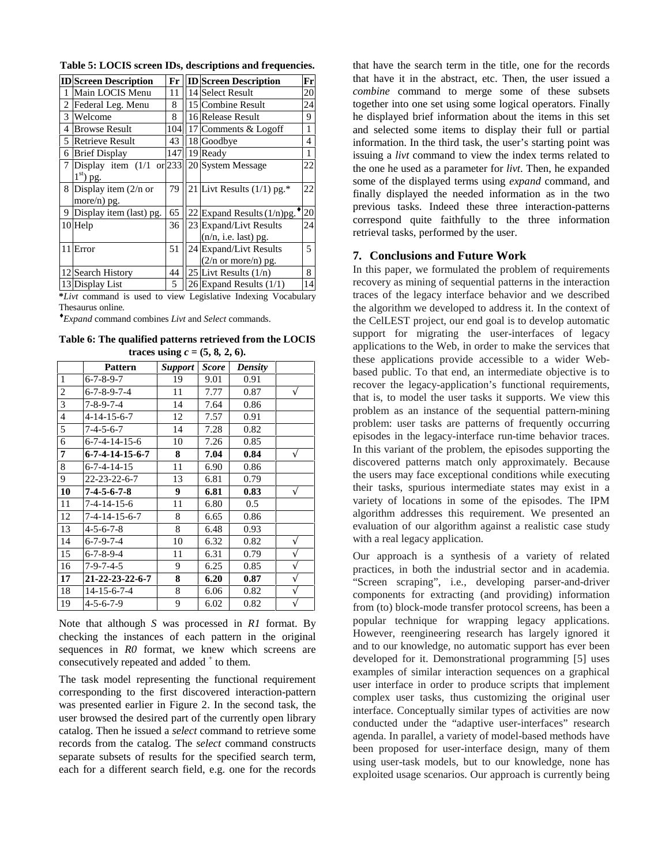|  |  |  |  |  | Table 5: LOCIS screen IDs, descriptions and frequencies. |  |
|--|--|--|--|--|----------------------------------------------------------|--|
|  |  |  |  |  |                                                          |  |

|    | <b>ID</b> Screen Description                        | Fr  | <b>ID</b> Screen Description                            | Fr             |
|----|-----------------------------------------------------|-----|---------------------------------------------------------|----------------|
| -1 | Main LOCIS Menu                                     | 11  | 14 Select Result                                        | 20             |
| 2  | Federal Leg. Menu                                   | 8   | 15 Combine Result                                       | 24             |
| 3  | Welcome                                             | 8   | 16 Release Result                                       | 9              |
| 4  | <b>Browse Result</b>                                | 104 | 17 Comments & Logoff                                    | 1              |
| 5  | <b>Retrieve Result</b>                              | 43  | 18 Goodbye                                              | 4              |
|    | 6 Brief Display                                     | 147 | 19 Ready                                                | 1              |
| 7  | Display item $(1/1 \text{ or } 233)$<br>$1st$ ) pg. |     | 20 System Message                                       | 22             |
|    | 8 Display item (2/n or<br>more/n) $pg$ .            | 79  | 21 Livt Results $(1/1)$ pg.*                            | 22             |
|    | 9 Display item (last) pg.                           | 65  | 22 Expand Results $(1/n)$ pg.                           | 20             |
|    | $10$ Help                                           | 36  | 23 Expand/Livt Results<br>$(n/n, i.e. last)$ pg.        | 24             |
|    | $11$ Error                                          | 51  | 24 Expand/Livt Results<br>$(2/n \text{ or more/n})$ pg. | $\overline{5}$ |
|    | 12 Search History                                   | 44  | 25 Livt Results $(1/n)$                                 | 8              |
|    | 13 Display List                                     | 5   | $26$ Expand Results $(1/1)$                             | 14             |

**\****Livt* command is used to view Legislative Indexing Vocabulary Thesaurus online*.*

♦ *Expand* command combines *Livt* and *Select* commands.

**Table 6: The qualified patterns retrieved from the LOCIS traces using**  $c = (5, 8, 2, 6)$ .

|                | <b>Pattern</b>                | <b>Support</b> | Score | <b>Density</b> |   |
|----------------|-------------------------------|----------------|-------|----------------|---|
| $\mathbf{1}$   | $6 - 7 - 8 - 9 - 7$           | 19             | 9.01  | 0.91           |   |
| $\overline{2}$ | $6 - 7 - 8 - 9 - 7 - 4$       | 11             | 7.77  | 0.87           | V |
| 3              | 7-8-9-7-4                     | 14             | 7.64  | 0.86           |   |
| $\overline{4}$ | $4 - 14 - 15 - 6 - 7$         | 12             | 7.57  | 0.91           |   |
| 5              | 7-4-5-6-7                     | 14             | 7.28  | 0.82           |   |
| 6              | 6-7-4-14-15-6                 | 10             | 7.26  | 0.85           |   |
| 7              | $6 - 7 - 4 - 14 - 15 - 6 - 7$ | 8              | 7.04  | 0.84           | V |
| 8              | $6 - 7 - 4 - 14 - 15$         | 11             | 6.90  | 0.86           |   |
| 9              | $22 - 23 - 22 - 6 - 7$        | 13             | 6.81  | 0.79           |   |
| 10             | $7 - 4 - 5 - 6 - 7 - 8$       | 9              | 6.81  | 0.83           | V |
| 11             | 7-4-14-15-6                   | 11             | 6.80  | 0.5            |   |
| 12             | 7-4-14-15-6-7                 | 8              | 6.65  | 0.86           |   |
| 13             | $4 - 5 - 6 - 7 - 8$           | 8              | 6.48  | 0.93           |   |
| 14             | $6 - 7 - 9 - 7 - 4$           | 10             | 6.32  | 0.82           | V |
| 15             | $6 - 7 - 8 - 9 - 4$           | 11             | 6.31  | 0.79           | V |
| 16             | $7-9-7-4-5$                   | 9              | 6.25  | 0.85           | V |
| 17             | 21-22-23-22-6-7               | 8              | 6.20  | 0.87           | V |
| 18             | $14 - 15 - 6 - 7 - 4$         | 8              | 6.06  | 0.82           | N |
| 19             | 4-5-6-7-9                     | 9              | 6.02  | 0.82           | V |

Note that although *S* was processed in *R1* format. By checking the instances of each pattern in the original sequences in *R0* format, we knew which screens are consecutively repeated and added  $^+$  to them.

The task model representing the functional requirement corresponding to the first discovered interaction-pattern was presented earlier in Figure 2. In the second task, the user browsed the desired part of the currently open library catalog. Then he issued a *select* command to retrieve some records from the catalog. The *select* command constructs separate subsets of results for the specified search term, each for a different search field, e.g. one for the records

that have the search term in the title, one for the records that have it in the abstract, etc. Then, the user issued a *combine* command to merge some of these subsets together into one set using some logical operators. Finally he displayed brief information about the items in this set and selected some items to display their full or partial information. In the third task, the user's starting point was issuing a *livt* command to view the index terms related to the one he used as a parameter for *livt*. Then, he expanded some of the displayed terms using *expand* command, and finally displayed the needed information as in the two previous tasks. Indeed these three interaction-patterns correspond quite faithfully to the three information retrieval tasks, performed by the user.

#### **7. Conclusions and Future Work**

In this paper, we formulated the problem of requirements recovery as mining of sequential patterns in the interaction traces of the legacy interface behavior and we described the algorithm we developed to address it. In the context of the CelLEST project, our end goal is to develop automatic support for migrating the user-interfaces of legacy applications to the Web, in order to make the services that these applications provide accessible to a wider Webbased public. To that end, an intermediate objective is to recover the legacy-application's functional requirements, that is, to model the user tasks it supports. We view this problem as an instance of the sequential pattern-mining problem: user tasks are patterns of frequently occurring episodes in the legacy-interface run-time behavior traces. In this variant of the problem, the episodes supporting the discovered patterns match only approximately. Because the users may face exceptional conditions while executing their tasks, spurious intermediate states may exist in a variety of locations in some of the episodes. The IPM algorithm addresses this requirement. We presented an evaluation of our algorithm against a realistic case study with a real legacy application.

Our approach is a synthesis of a variety of related practices, in both the industrial sector and in academia. "Screen scraping", i.e., developing parser-and-driver components for extracting (and providing) information from (to) block-mode transfer protocol screens, has been a popular technique for wrapping legacy applications. However, reengineering research has largely ignored it and to our knowledge, no automatic support has ever been developed for it. Demonstrational programming [5] uses examples of similar interaction sequences on a graphical user interface in order to produce scripts that implement complex user tasks, thus customizing the original user interface. Conceptually similar types of activities are now conducted under the "adaptive user-interfaces" research agenda. In parallel, a variety of model-based methods have been proposed for user-interface design, many of them using user-task models, but to our knowledge, none has exploited usage scenarios. Our approach is currently being